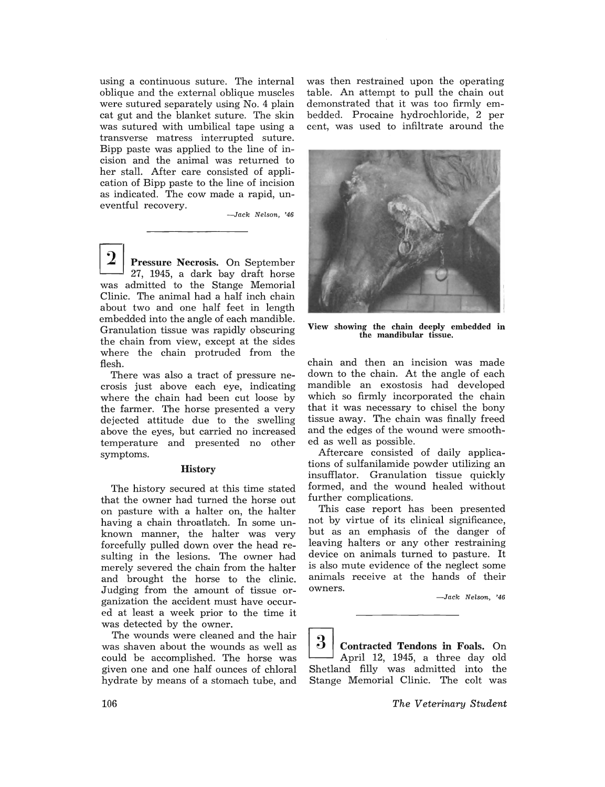using a continuous suture. The internal oblique and the external oblique muscles were sutured separately using No.4 plain cat gut and the blanket suture. The skin was sutured with umbilical tape using a transverse matress interrupted suture. Bipp paste was applied to the line of incision and the animal was returned to her stall. After care consisted of application of Bipp paste to the line of incision as indicated. The cow made a rapid, uneventful recovery.

-Jack Nelson, '46

 $2$  Pressure Necrosis. On September 27, 1945, a dark bay draft horse was admitted to the Stange Memorial Clinic. The animal had a half inch chain about two and one half feet in length embedded into the angle of each mandible. Granulation tissue was rapidly obscuring the chain from view, except at the sides where the chain protruded from the flesh.

There was also a tract of pressure necrosis just above each eye, indicating where the chain had been cut loose by the farmer. The horse presented a very dejected attitude due to the swelling above the eyes, but carried no increased temperature and presented no other symptoms.

## **History**

The history secured at this time stated that the owner had turned the horse out on pasture with a halter on, the halter having a chain throatlatch. In some unknown manner, the halter was very forcefully pulled down over the head resulting in the lesions. The owner had merely severed the chain from the halter and brought the horse to the clinic. Judging from the amount of tissue organization the accident must have occured at least a week prior to the time it was detected by the owner.

The wounds were cleaned and the hair was shaven about the wounds as well as could be accomplished. The horse was given one and one half ounces of chloral hydrate by means of a stomach tube, and was then restrained upon the operating table. An attempt to pull the chain out demonstrated that it was too firmly embedded. Procaine hydrochloride, 2 per cent, was used to infiltrate around the



View showing the chain deeply embedded in the mandibular tissue.

chain and then an incision was made down to the chain. At the angle of each mandible an exostosis had developed which so firmly incorporated the chain that it was necessary to chisel the bony tissue away. The chain was finally freed and the edges of the wound were smoothed as well as possible.

Aftercare consisted of daily applications of sulfanilamide powder utilizing an insufflator. Granulation tissue quickly formed, and the wound healed without further complications.

This case report has been presented not by virtue of its clinical significance, but as an emphasis of the danger of leaving halters or any other restraining device on animals turned to pasture. It is also mute evidence of the neglect some animals receive at the hands of their owners.

 $-$ Jack Nelson, '46

 $\boxed{3}$  Contracted Tendons in Foals. On April 12, 1945, a three day old Shetland filly was admitted into the Stange Memorial Clinic. The colt was

*The Veterinary Student*